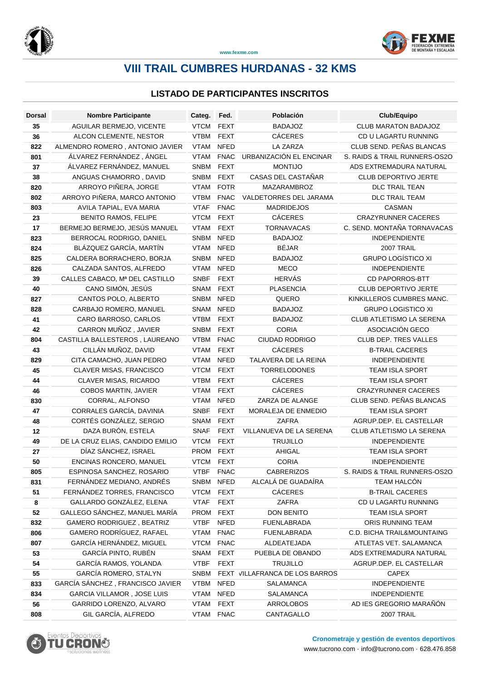



**www.fexme.com**

# **VIII TRAIL CUMBRES HURDANAS - 32 KMS**

### **LISTADO DE PARTICIPANTES INSCRITOS**

| Dorsal    | <b>Nombre Participante</b>                                   | Categ.                     | Fed.                       | Población                       | Club/Equipo                                          |
|-----------|--------------------------------------------------------------|----------------------------|----------------------------|---------------------------------|------------------------------------------------------|
| 35        | AGUILAR BERMEJO, VICENTE                                     | <b>VTCM</b>                | <b>FEXT</b>                | <b>BADAJOZ</b>                  | CLUB MARATON BADAJOZ                                 |
| 36        | ALCON CLEMENTE, NESTOR                                       | <b>VTBM</b>                | <b>FEXT</b>                | <b>CÁCERES</b>                  | CD U LAGARTU RUNNING                                 |
| 822       | ALMENDRO ROMERO, ANTONIO JAVIER                              | <b>VTAM</b>                | <b>NFED</b>                | LA ZARZA                        | CLUB SEND. PEÑAS BLANCAS                             |
| 801       | ÁLVAREZ FERNÁNDEZ, ÁNGEL                                     | <b>VTAM</b>                | <b>FNAC</b>                | URBANIZACIÓN EL ENCINAR         | S. RAIDS & TRAIL RUNNERS-OS2O                        |
| 37        | ÁLVAREZ FERNÁNDEZ, MANUEL                                    | SNBM                       | <b>FEXT</b>                | <b>MONTIJO</b>                  | ADS EXTREMADURA NATURAL                              |
| 38        | ANGUAS CHAMORRO, DAVID                                       | SNBM                       | <b>FEXT</b>                | CASAS DEL CASTAÑAR              | CLUB DEPORTIVO JERTE                                 |
| 820       | ARROYO PIÑERA, JORGE                                         | <b>VTAM</b>                | <b>FOTR</b>                | MAZARAMBROZ                     | DLC TRAIL TEAN                                       |
| 802       | ARROYO PIÑERA, MARCO ANTONIO                                 | <b>VTBM</b>                | <b>FNAC</b>                | VALDETORRES DEL JARAMA          | <b>DLC TRAIL TEAM</b>                                |
| 803       | AVILA TAPIAL, EVA MARIA                                      | <b>VTAF</b>                | <b>FNAC</b>                | <b>MADRIDEJOS</b>               | <b>CASMAN</b>                                        |
| 23        | <b>BENITO RAMOS, FELIPE</b>                                  | <b>VTCM</b>                | <b>FEXT</b>                | <b>CÁCERES</b>                  | <b>CRAZYRUNNER CACERES</b>                           |
| 17        | BERMEJO BERMEJO, JESÚS MANUEL                                | <b>VTAM</b>                | <b>FEXT</b>                | <b>TORNAVACAS</b>               | C. SEND. MONTAÑA TORNAVACAS                          |
| 823       | BERROCAL RODRIGO, DANIEL                                     | SNBM                       | <b>NFED</b>                | <b>BADAJOZ</b>                  | <b>INDEPENDIENTE</b>                                 |
| 824       | BLÁZQUEZ GARCÍA, MARTÍN                                      | <b>VTAM</b>                | <b>NFED</b>                | <b>BÉJAR</b>                    | 2007 TRAIL                                           |
| 825       | CALDERA BORRACHERO, BORJA                                    | SNBM                       | <b>NFED</b>                | <b>BADAJOZ</b>                  | <b>GRUPO LOGÍSTICO XI</b>                            |
| 826       | CALZADA SANTOS, ALFREDO                                      | <b>VTAM</b>                | <b>NFED</b>                | <b>MECO</b>                     | <b>INDEPENDIENTE</b>                                 |
| 39        | CALLES CABACO, Mª DEL CASTILLO                               | <b>SNBF</b>                | <b>FEXT</b>                | <b>HERVÁS</b>                   | <b>CD PAPORROS-BTT</b>                               |
| 40        | CANO SIMÓN, JESÚS                                            | SNAM                       | <b>FEXT</b>                | <b>PLASENCIA</b>                | <b>CLUB DEPORTIVO JERTE</b>                          |
| 827       | CANTOS POLO, ALBERTO                                         | SNBM                       | <b>NFED</b>                | QUERO                           | KINKILLEROS CUMBRES MANC.                            |
| 828       | CARBAJO ROMERO, MANUEL                                       | SNAM                       | <b>NFED</b>                | <b>BADAJOZ</b>                  | <b>GRUPO LOGISTICO XI</b>                            |
| 41        | CARO BARROSO, CARLOS                                         | <b>VTBM</b>                | <b>FEXT</b>                | <b>BADAJOZ</b>                  | CLUB ATLETISMO LA SERENA                             |
| 42        | CARRON MUÑOZ, JAVIER                                         | <b>SNBM</b>                | <b>FEXT</b>                | <b>CORIA</b>                    | ASOCIACIÓN GECO                                      |
| 804       | CASTILLA BALLESTEROS, LAUREANO                               | <b>VTBM</b>                | <b>FNAC</b>                | CIUDAD RODRIGO                  | CLUB DEP. TRES VALLES                                |
| 43        | CILLÁN MUÑOZ, DAVID                                          | <b>VTAM</b>                | <b>FEXT</b>                | <b>CÁCERES</b>                  | <b>B-TRAIL CACERES</b>                               |
| 829       | CITA CAMACHO, JUAN PEDRO                                     | <b>VTAM</b>                | <b>NFED</b>                | TALAVERA DE LA REINA            | <b>INDEPENDIENTE</b>                                 |
| 45        | CLAVER MISAS, FRANCISCO                                      | <b>VTCM</b>                | <b>FEXT</b>                | <b>TORRELODONES</b>             | <b>TEAM ISLA SPORT</b>                               |
| 44        | CLAVER MISAS, RICARDO                                        | <b>VTBM</b>                | <b>FEXT</b>                | <b>CÁCERES</b>                  | <b>TEAM ISLA SPORT</b>                               |
| 46        | COBOS MARTIN, JAVIER                                         | <b>VTAM</b>                | <b>FEXT</b>                | <b>CÁCERES</b>                  | <b>CRAZYRUNNER CACERES</b>                           |
| 830       | CORRAL, ALFONSO                                              | <b>VTAM</b>                | <b>NFED</b>                | ZARZA DE ALANGE                 | CLUB SEND. PEÑAS BLANCAS                             |
| 47        | CORRALES GARCÍA, DAVINIA                                     | <b>SNBF</b>                | <b>FEXT</b>                | MORALEJA DE ENMEDIO             | <b>TEAM ISLA SPORT</b>                               |
| 48        | CORTÉS GONZÁLEZ, SERGIO                                      | SNAM                       | <b>FEXT</b>                | <b>ZAFRA</b>                    | AGRUP.DEP. EL CASTELLAR                              |
| 12        | DAZA BURÓN, ESTELA                                           | <b>SNAF</b>                | <b>FEXT</b>                | VILLANUEVA DE LA SERENA         | CLUB ATLETISMO LA SERENA                             |
| 49        | DE LA CRUZ ELIAS, CANDIDO EMILIO                             | <b>VTCM</b>                | <b>FEXT</b>                | <b>TRUJILLO</b>                 | INDEPENDIENTE                                        |
| 27        | DÍAZ SÁNCHEZ, ISRAEL                                         | PROM                       | <b>FEXT</b>                | AHIGAL                          | <b>TEAM ISLA SPORT</b>                               |
| 50        | ENCINAS RONCERO, MANUEL                                      | VTCM FEXT                  |                            | <b>CORIA</b>                    | <b>INDEPENDIENTE</b>                                 |
| 805       | ESPINOSA SANCHEZ, ROSARIO                                    | VTBF FNAC                  |                            | <b>CABRERIZOS</b>               | S. RAIDS & TRAIL RUNNERS-OS2O                        |
| 831       | FERNÁNDEZ MEDIANO, ANDRÉS                                    | SNBM NFED                  |                            | ALCALÁ DE GUADAÍRA              | TEAM HALCÓN                                          |
| 51        | FERNÁNDEZ TORRES, FRANCISCO                                  | <b>VTCM</b>                | <b>FEXT</b>                | CÁCERES                         | <b>B-TRAIL CACERES</b>                               |
| 8         | GALLARDO GONZÁLEZ, ELENA                                     | <b>VTAF</b>                | <b>FEXT</b>                | ZAFRA                           | CD U LAGARTU RUNNING                                 |
| 52        | GALLEGO SÁNCHEZ, MANUEL MARÍA                                | PROM FEXT                  |                            | <b>DON BENITO</b>               | TEAM ISLA SPORT                                      |
| 832       | <b>GAMERO RODRIGUEZ, BEATRIZ</b><br>GAMERO RODRÍGUEZ, RAFAEL | <b>VTBF</b>                | <b>NFED</b>                | <b>FUENLABRADA</b>              | ORIS RUNNING TEAM                                    |
| 806       |                                                              | <b>VTAM</b>                | <b>FNAC</b>                | <b>FUENLABRADA</b>              | C.D. BICHA TRAIL&MOUNTAING<br>ATLETAS VET. SALAMANCA |
| 807       | GARCÍA HERNÁNDEZ, MIGUEL<br>GARCÍA PINTO, RUBÉN              | <b>VTCM</b><br>SNAM        | <b>FNAC</b><br><b>FEXT</b> | ALDEATEJADA<br>PUEBLA DE OBANDO | ADS EXTREMADURA NATURAL                              |
| 53        | GARCÍA RAMOS, YOLANDA                                        |                            |                            | <b>TRUJILLO</b>                 |                                                      |
| 54        | GARCÍA ROMERO, STALYN                                        | <b>VTBF</b><br>SNBM        | <b>FEXT</b>                | FEXT VILLAFRANCA DE LOS BARROS  | AGRUP.DEP. EL CASTELLAR<br><b>CAPEX</b>              |
| 55<br>833 | GARCÍA SÁNCHEZ, FRANCISCO JAVIER                             | <b>VTBM</b>                | <b>NFED</b>                | SALAMANCA                       | <b>INDEPENDIENTE</b>                                 |
|           | GARCIA VILLAMOR, JOSE LUIS                                   |                            | <b>NFED</b>                | SALAMANCA                       | <b>INDEPENDIENTE</b>                                 |
| 834       | GARRIDO LORENZO, ALVARO                                      | <b>VTAM</b><br><b>VTAM</b> | <b>FEXT</b>                | ARROLOBOS                       | AD IES GREGORIO MARAÑÓN                              |
| 56        | GIL GARCÍA, ALFREDO                                          |                            |                            |                                 |                                                      |
| 808       |                                                              | VTAM FNAC                  |                            | CANTAGALLO                      | 2007 TRAIL                                           |

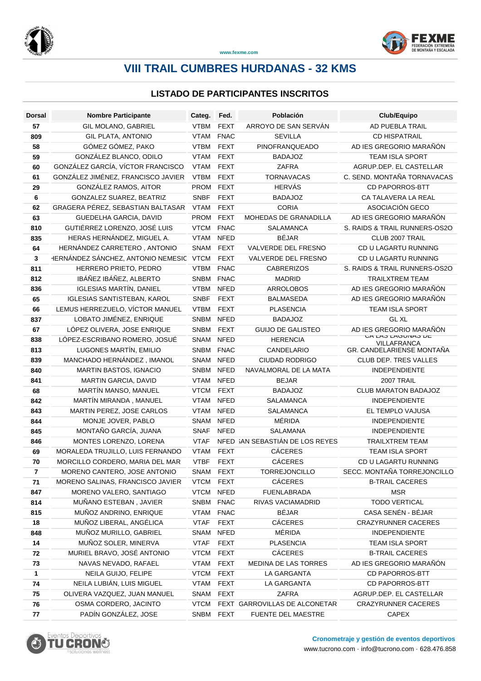



**www.fexme.com**

# **VIII TRAIL CUMBRES HURDANAS - 32 KMS**

### **LISTADO DE PARTICIPANTES INSCRITOS**

| <b>Dorsal</b> | <b>Nombre Participante</b>              | Categ.      | Fed.        | Población                       | Club/Equipo                       |
|---------------|-----------------------------------------|-------------|-------------|---------------------------------|-----------------------------------|
| 57            | GIL MOLANO, GABRIEL                     | <b>VTBM</b> | <b>FEXT</b> | ARROYO DE SAN SERVÁN            | AD PUEBLA TRAIL                   |
| 809           | <b>GIL PLATA, ANTONIO</b>               | <b>VTAM</b> | <b>FNAC</b> | <b>SEVILLA</b>                  | <b>CD HISPATRAIL</b>              |
| 58            | GÓMEZ GÓMEZ, PAKO                       | <b>VTBM</b> | <b>FEXT</b> | PINOFRANQUEADO                  | AD IES GREGORIO MARAÑÓN           |
| 59            | GONZÁLEZ BLANCO, ODILO                  | <b>VTAM</b> | <b>FEXT</b> | <b>BADAJOZ</b>                  | TEAM ISLA SPORT                   |
| 60            | GONZÁLEZ GARCÍA, VÍCTOR FRANCISCO       | <b>VTAM</b> | <b>FEXT</b> | ZAFRA                           | AGRUP.DEP. EL CASTELLAR           |
| 61            | GONZÁLEZ JIMÉNEZ, FRANCISCO JAVIER      | <b>VTBM</b> | <b>FEXT</b> | <b>TORNAVACAS</b>               | C. SEND. MONTAÑA TORNAVACAS       |
| 29            | GONZÁLEZ RAMOS, AITOR                   | <b>PROM</b> | <b>FEXT</b> | <b>HERVÁS</b>                   | <b>CD PAPORROS-BTT</b>            |
| 6             | GONZALEZ SUAREZ, BEATRIZ                | <b>SNBF</b> | <b>FEXT</b> | <b>BADAJOZ</b>                  | CA TALAVERA LA REAL               |
| 62            | GRAGERA PÉREZ, SEBASTIAN BALTASAR       | <b>VTAM</b> | <b>FEXT</b> | <b>CORIA</b>                    | ASOCIACIÓN GECO                   |
| 63            | GUEDELHA GARCIA, DAVID                  | PROM        | <b>FEXT</b> | MOHEDAS DE GRANADILLA           | AD IES GREGORIO MARAÑON           |
| 810           | GUTIÉRREZ LORENZO, JOSÉ LUIS            | <b>VTCM</b> | <b>FNAC</b> | <b>SALAMANCA</b>                | S. RAIDS & TRAIL RUNNERS-OS2O     |
| 835           | HERAS HERNÁNDEZ, MIGUEL A.              | <b>VTAM</b> | <b>NFED</b> | <b>BÉJAR</b>                    | CLUB 2007 TRAIL                   |
| 64            | HERNÁNDEZ CARRETERO, ANTONIO            | SNAM        | <b>FEXT</b> | VALVERDE DEL FRESNO             | CD U LAGARTU RUNNING              |
| 3             | HERNÁNDEZ SÁNCHEZ, ANTONIO NEMESIC VTCM |             | <b>FEXT</b> | VALVERDE DEL FRESNO             | CD U LAGARTU RUNNING              |
| 811           | HERRERO PRIETO, PEDRO                   | <b>VTBM</b> | <b>FNAC</b> | <b>CABRERIZOS</b>               | S. RAIDS & TRAIL RUNNERS-OS2O     |
| 812           | IBÁÑEZ IBÁÑEZ, ALBERTO                  | <b>SNBM</b> | <b>FNAC</b> | <b>MADRID</b>                   | <b>TRAILXTREM TEAM</b>            |
| 836           | <b>IGLESIAS MARTÍN, DANIEL</b>          | <b>VTBM</b> | <b>NFED</b> | ARROLOBOS                       | AD IES GREGORIO MARAÑÓN           |
| 65            | <b>IGLESIAS SANTISTEBAN, KAROL</b>      | <b>SNBF</b> | <b>FEXT</b> | <b>BALMASEDA</b>                | AD IES GREGORIO MARAÑÓN           |
| 66            | LEMUS HERREZUELO, VÍCTOR MANUEL         | <b>VTBM</b> | <b>FEXT</b> | <b>PLASENCIA</b>                | <b>TEAM ISLA SPORT</b>            |
| 837           | LOBATO JIMÉNEZ, ENRIQUE                 | SNBM        | <b>NFED</b> | <b>BADAJOZ</b>                  | <b>GL XL</b>                      |
| 67            | LÓPEZ OLIVERA, JOSE ENRIQUE             | <b>SNBM</b> | <b>FEXT</b> | <b>GUIJO DE GALISTEO</b>        | AD IES GREGORIO MARAÑÓN           |
| 838           | LÓPEZ-ESCRIBANO ROMERO, JOSUÉ           | SNAM        | <b>NFED</b> | <b>HERENCIA</b>                 | UA LAJ LAUUINAJ LE<br>VILLAFRANCA |
| 813           | LUGONES MARTÍN, EMILIO                  | <b>SNBM</b> | <b>FNAC</b> | CANDELARIO                      | GR. CANDELARIENSE MONTAÑA         |
| 839           | MANCHADO HERNÁNDEZ, IMANOL              | SNAM        | <b>NFED</b> | <b>CIUDAD RODRIGO</b>           | CLUB DEP. TRES VALLES             |
| 840           | MARTIN BASTOS, IGNACIO                  | SNBM NFED   |             | NAVALMORAL DE LA MATA           | <b>INDEPENDIENTE</b>              |
| 841           | MARTIN GARCIA, DAVID                    | <b>VTAM</b> | <b>NFED</b> | <b>BEJAR</b>                    | 2007 TRAIL                        |
| 68            | MARTÍN MANSO, MANUEL                    | <b>VTCM</b> | <b>FEXT</b> | <b>BADAJOZ</b>                  | CLUB MARATON BADAJOZ              |
| 842           | MARTÍN MIRANDA, MANUEL                  | <b>VTAM</b> | <b>NFED</b> | <b>SALAMANCA</b>                | <b>INDEPENDIENTE</b>              |
| 843           | MARTIN PEREZ, JOSE CARLOS               | <b>VTAM</b> | <b>NFED</b> | <b>SALAMANCA</b>                | EL TEMPLO VAJUSA                  |
| 844           | MONJE JOVER, PABLO                      | SNAM        | <b>NFED</b> | MÉRIDA                          | <b>INDEPENDIENTE</b>              |
| 845           | MONTAÑO GARCÍA, JUANA                   | <b>SNAF</b> | <b>NFED</b> | <b>SALAMANA</b>                 | <b>INDEPENDIENTE</b>              |
| 846           | MONTES LORENZO, LORENA                  | <b>VTAF</b> |             | NFED SAN SEBASTIÁN DE LOS REYES | <b>TRAILXTREM TEAM</b>            |
| 69            | MORALEDA TRUJILLO, LUIS FERNANDO        | <b>VTAM</b> | <b>FEXT</b> | <b>CÁCERES</b>                  | TEAM ISLA SPORT                   |
| 70            | MORCILLO CORDERO, MARIA DEL MAR         | <b>VTBF</b> | <b>FEXT</b> | <b>CÁCERES</b>                  | CD U LAGARTU RUNNING              |
| 7             | MORENO CANTERO, JOSE ANTONIO            | SNAM FEXT   |             | TORREJONCILLO                   | SECC. MONTAÑA TORREJONCILLO       |
| 71            | MORENO SALINAS, FRANCISCO JAVIER        | VTCM FEXT   |             | <b>CÁCERES</b>                  | <b>B-TRAIL CACERES</b>            |
| 847           | MORENO VALERO, SANTIAGO                 | <b>VTCM</b> | <b>NFED</b> | <b>FUENLABRADA</b>              | <b>MSR</b>                        |
| 814           | MUÑANO ESTEBAN, JAVIER                  | SNBM FNAC   |             | RIVAS VACIAMADRID               | <b>TODO VERTICAL</b>              |
| 815           | MUÑOZ ANDRINO, ENRIQUE                  | VTAM        | <b>FNAC</b> | <b>BÉJAR</b>                    | CASA SENÉN - BÉJAR                |
| 18            | MUÑOZ LIBERAL, ANGÉLICA                 | <b>VTAF</b> | <b>FEXT</b> | <b>CÁCERES</b>                  | CRAZYRUNNER CACERES               |
| 848           | MUÑOZ MURILLO, GABRIEL                  | SNAM        | <b>NFED</b> | MÉRIDA                          | <b>INDEPENDIENTE</b>              |
| 14            | MUÑOZ SOLER, MINERVA                    | <b>VTAF</b> | <b>FEXT</b> | <b>PLASENCIA</b>                | TEAM ISLA SPORT                   |
| 72            | MURIEL BRAVO, JOSÉ ANTONIO              | <b>VTCM</b> | <b>FEXT</b> | CÁCERES                         | <b>B-TRAIL CACERES</b>            |
| 73            | NAVAS NEVADO, RAFAEL                    | <b>VTAM</b> | <b>FEXT</b> | MEDINA DE LAS TORRES            | AD IES GREGORIO MARAÑÓN           |
| 1             | NEILA GUIJO, FELIPE                     | <b>VTCM</b> | <b>FEXT</b> | LA GARGANTA                     | <b>CD PAPORROS-BTT</b>            |
| 74            | NEILA LUBIÁN, LUIS MIGUEL               | VTAM        | <b>FEXT</b> | LA GARGANTA                     | CD PAPORROS-BTT                   |
| 75            | OLIVERA VAZQUEZ, JUAN MANUEL            | SNAM        | <b>FEXT</b> | ZAFRA                           | AGRUP.DEP. EL CASTELLAR           |
| 76            | OSMA CORDERO, JACINTO                   | <b>VTCM</b> |             | FEXT GARROVILLAS DE ALCONETAR   | <b>CRAZYRUNNER CACERES</b>        |
| 77            | PADÍN GONZÁLEZ, JOSE                    | SNBM FEXT   |             | FUENTE DEL MAESTRE              | <b>CAPEX</b>                      |